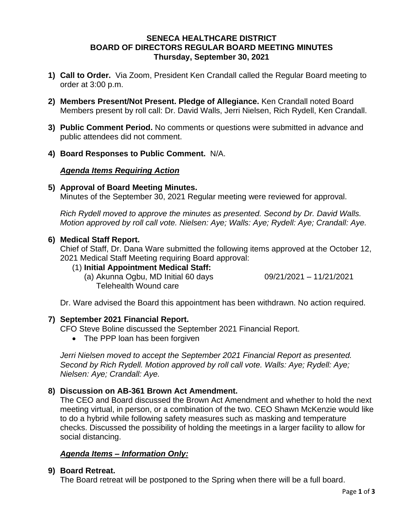### **SENECA HEALTHCARE DISTRICT BOARD OF DIRECTORS REGULAR BOARD MEETING MINUTES Thursday, September 30, 2021**

- **1) Call to Order.** Via Zoom, President Ken Crandall called the Regular Board meeting to order at 3:00 p.m.
- **2) Members Present/Not Present. Pledge of Allegiance.** Ken Crandall noted Board Members present by roll call: Dr. David Walls, Jerri Nielsen, Rich Rydell, Ken Crandall.
- **3) Public Comment Period.** No comments or questions were submitted in advance and public attendees did not comment.
- **4) Board Responses to Public Comment.** N/A.

#### *Agenda Items Requiring Action*

#### **5) Approval of Board Meeting Minutes.**

Minutes of the September 30, 2021 Regular meeting were reviewed for approval.

*Rich Rydell moved to approve the minutes as presented. Second by Dr. David Walls. Motion approved by roll call vote. Nielsen: Aye; Walls: Aye; Rydell: Aye; Crandall: Aye.*

#### **6) Medical Staff Report.**

Chief of Staff, Dr. Dana Ware submitted the following items approved at the October 12, 2021 Medical Staff Meeting requiring Board approval:

### (1) **Initial Appointment Medical Staff:**

(a) Akunna Ogbu, MD Initial 60 days 09/21/2021 – 11/21/2021 Telehealth Wound care

Dr. Ware advised the Board this appointment has been withdrawn. No action required.

### **7) September 2021 Financial Report.**

- CFO Steve Boline discussed the September 2021 Financial Report.
	- The PPP loan has been forgiven

*Jerri Nielsen moved to accept the September 2021 Financial Report as presented. Second by Rich Rydell. Motion approved by roll call vote. Walls: Aye; Rydell: Aye; Nielsen: Aye; Crandall: Aye.*

# **8) Discussion on AB-361 Brown Act Amendment.**

The CEO and Board discussed the Brown Act Amendment and whether to hold the next meeting virtual, in person, or a combination of the two. CEO Shawn McKenzie would like to do a hybrid while following safety measures such as masking and temperature checks. Discussed the possibility of holding the meetings in a larger facility to allow for social distancing.

### *Agenda Items – Information Only:*

### **9) Board Retreat.**

The Board retreat will be postponed to the Spring when there will be a full board.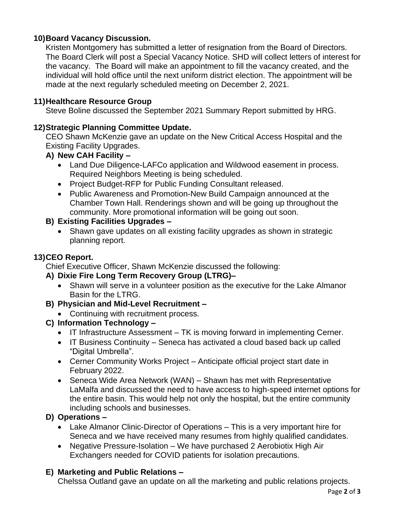# **10)Board Vacancy Discussion.**

Kristen Montgomery has submitted a letter of resignation from the Board of Directors. The Board Clerk will post a Special Vacancy Notice. SHD will collect letters of interest for the vacancy. The Board will make an appointment to fill the vacancy created, and the individual will hold office until the next uniform district election. The appointment will be made at the next regularly scheduled meeting on December 2, 2021.

#### **11)Healthcare Resource Group**

Steve Boline discussed the September 2021 Summary Report submitted by HRG.

#### **12)Strategic Planning Committee Update.**

CEO Shawn McKenzie gave an update on the New Critical Access Hospital and the Existing Facility Upgrades.

### **A) New CAH Facility –**

- Land Due Diligence-LAFCo application and Wildwood easement in process. Required Neighbors Meeting is being scheduled.
- Project Budget-RFP for Public Funding Consultant released.
- Public Awareness and Promotion-New Build Campaign announced at the Chamber Town Hall. Renderings shown and will be going up throughout the community. More promotional information will be going out soon.

### **B) Existing Facilities Upgrades –**

• Shawn gave updates on all existing facility upgrades as shown in strategic planning report.

### **13)CEO Report.**

Chief Executive Officer, Shawn McKenzie discussed the following:

### **A) Dixie Fire Long Term Recovery Group (LTRG)–**

• Shawn will serve in a volunteer position as the executive for the Lake Almanor Basin for the LTRG.

### **B) Physician and Mid-Level Recruitment –**

• Continuing with recruitment process.

### **C) Information Technology –**

- IT Infrastructure Assessment TK is moving forward in implementing Cerner.
- IT Business Continuity Seneca has activated a cloud based back up called "Digital Umbrella".
- Cerner Community Works Project Anticipate official project start date in February 2022.
- Seneca Wide Area Network (WAN) Shawn has met with Representative LaMalfa and discussed the need to have access to high-speed internet options for the entire basin. This would help not only the hospital, but the entire community including schools and businesses.

### **D) Operations –**

- Lake Almanor Clinic-Director of Operations This is a very important hire for Seneca and we have received many resumes from highly qualified candidates.
- Negative Pressure-Isolation We have purchased 2 Aerobiotix High Air Exchangers needed for COVID patients for isolation precautions.

### **E) Marketing and Public Relations –**

Chelssa Outland gave an update on all the marketing and public relations projects.